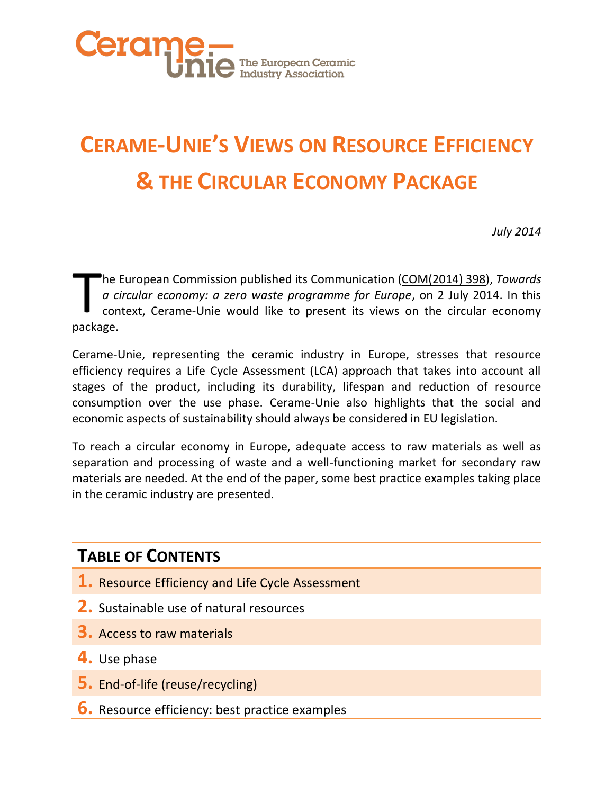

# **CERAME-UNIE'S VIEWS ON RESOURCE EFFICIENCY & THE CIRCULAR ECONOMY PACKAGE**

*July 2014*

he European Commission published its Communication [\(COM\(2014\) 398\)](http://ec.europa.eu/environment/circular-economy/pdf/circular-economy-communication.pdf), *Towards a circular economy: a zero waste programme for Europe*, on 2 July 2014. In this context, Cerame-Unie would like to present its views on the circular economy he I<br> *a ci*<br>
con
package.

Cerame-Unie, representing the ceramic industry in Europe, stresses that resource efficiency requires a Life Cycle Assessment (LCA) approach that takes into account all stages of the product, including its durability, lifespan and reduction of resource consumption over the use phase. Cerame-Unie also highlights that the social and economic aspects of sustainability should always be considered in EU legislation.

To reach a circular economy in Europe, adequate access to raw materials as well as separation and processing of waste and a well-functioning market for secondary raw materials are needed. At the end of the paper, some best practice examples taking place in the ceramic industry are presented.

### **TABLE OF CONTENTS**

- **1.** Resource Efficiency and Life Cycle Assessment
- **2.** Sustainable use of natural resources
- **3.** Access to raw materials
- **4.** Use phase
- **5.** End-of-life (reuse/recycling)
- **6.** Resource efficiency: best practice examples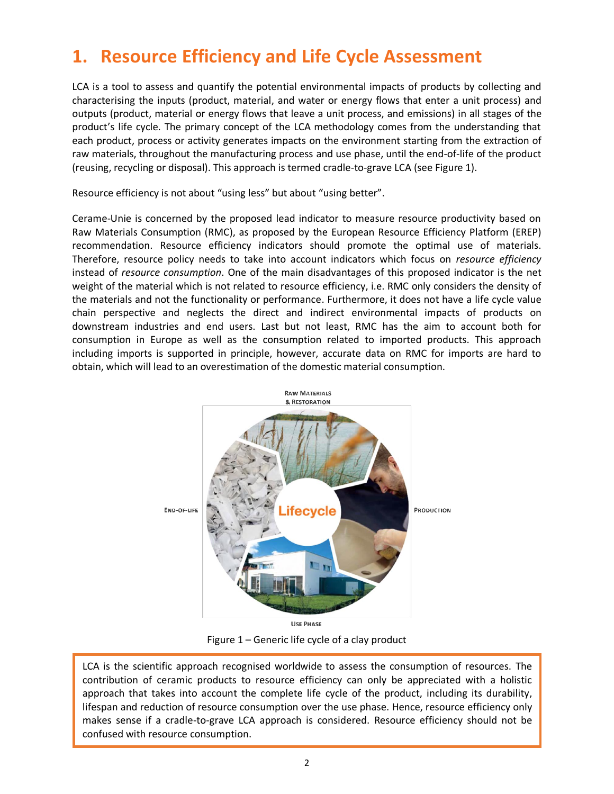## **1. Resource Efficiency and Life Cycle Assessment**

LCA is a tool to assess and quantify the potential environmental impacts of products by collecting and characterising the inputs (product, material, and water or energy flows that enter a unit process) and outputs (product, material or energy flows that leave a unit process, and emissions) in all stages of the product's life cycle. The primary concept of the LCA methodology comes from the understanding that each product, process or activity generates impacts on the environment starting from the extraction of raw materials, throughout the manufacturing process and use phase, until the end-of-life of the product (reusing, recycling or disposal). This approach is termed cradle-to-grave LCA (see Figure 1).

Resource efficiency is not about "using less" but about "using better".

Cerame-Unie is concerned by the proposed lead indicator to measure resource productivity based on Raw Materials Consumption (RMC), as proposed by the European Resource Efficiency Platform (EREP) recommendation. Resource efficiency indicators should promote the optimal use of materials. Therefore, resource policy needs to take into account indicators which focus on *resource efficiency* instead of *resource consumption*. One of the main disadvantages of this proposed indicator is the net weight of the material which is not related to resource efficiency, i.e. RMC only considers the density of the materials and not the functionality or performance. Furthermore, it does not have a life cycle value chain perspective and neglects the direct and indirect environmental impacts of products on downstream industries and end users. Last but not least, RMC has the aim to account both for consumption in Europe as well as the consumption related to imported products. This approach including imports is supported in principle, however, accurate data on RMC for imports are hard to obtain, which will lead to an overestimation of the domestic material consumption.



Figure 1 – Generic life cycle of a clay product

LCA is the scientific approach recognised worldwide to assess the consumption of resources. The contribution of ceramic products to resource efficiency can only be appreciated with a holistic approach that takes into account the complete life cycle of the product, including its durability, lifespan and reduction of resource consumption over the use phase. Hence, resource efficiency only makes sense if a cradle-to-grave LCA approach is considered. Resource efficiency should not be confused with resource consumption.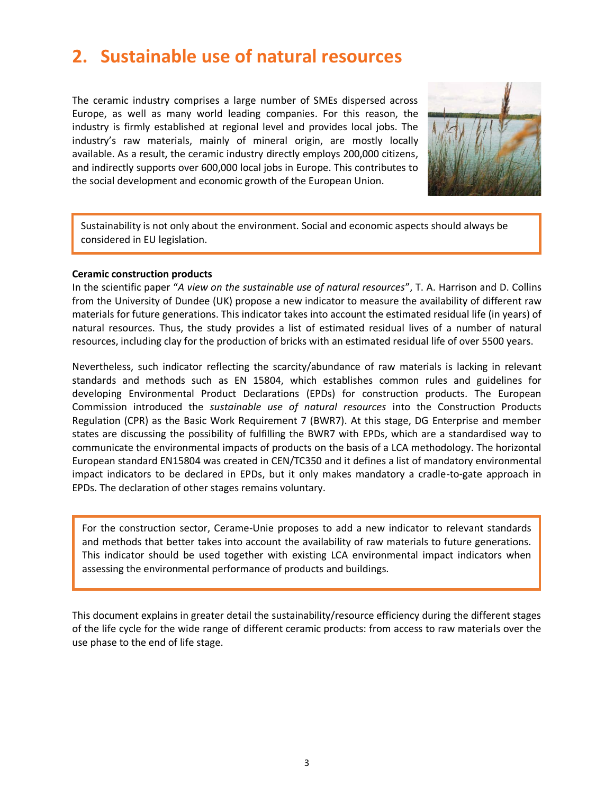### **2. Sustainable use of natural resources**

The ceramic industry comprises a large number of SMEs dispersed across Europe, as well as many world leading companies. For this reason, the industry is firmly established at regional level and provides local jobs. The industry's raw materials, mainly of mineral origin, are mostly locally available. As a result, the ceramic industry directly employs 200,000 citizens, and indirectly supports over 600,000 local jobs in Europe. This contributes to the social development and economic growth of the European Union.



 $\overline{\phantom{a}}$  considered in EU legislation. Sustainability is not only about the environment. Social and economic aspects should always be

### **Ceramic construction products**

In the scientific paper "*A view on the sustainable use of natural resources*", T. A. Harrison and D. Collins from the University of Dundee (UK) propose a new indicator to measure the availability of different raw materials for future generations. This indicator takes into account the estimated residual life (in years) of natural resources. Thus, the study provides a list of estimated residual lives of a number of natural resources, including clay for the production of bricks with an estimated residual life of over 5500 years.

Nevertheless, such indicator reflecting the scarcity/abundance of raw materials is lacking in relevant standards and methods such as EN 15804, which establishes common rules and guidelines for developing Environmental Product Declarations (EPDs) for construction products. The European Commission introduced the *sustainable use of natural resources* into the Construction Products Regulation (CPR) as the Basic Work Requirement 7 (BWR7). At this stage, DG Enterprise and member states are discussing the possibility of fulfilling the BWR7 with EPDs, which are a standardised way to communicate the environmental impacts of products on the basis of a LCA methodology. The horizontal European standard EN15804 was created in CEN/TC350 and it defines a list of mandatory environmental impact indicators to be declared in EPDs, but it only makes mandatory a cradle-to-gate approach in EPDs. The declaration of other stages remains voluntary.

For the construction sector, Cerame-Unie proposes to add a new indicator to relevant standards and methods that better takes into account the availability of raw materials to future generations. This indicator should be used together with existing LCA environmental impact indicators when assessing the environmental performance of products and buildings.

This document explains in greater detail the sustainability/resource efficiency during the different stages of the life cycle for the wide range of different ceramic products: from access to raw materials over the use phase to the end of life stage.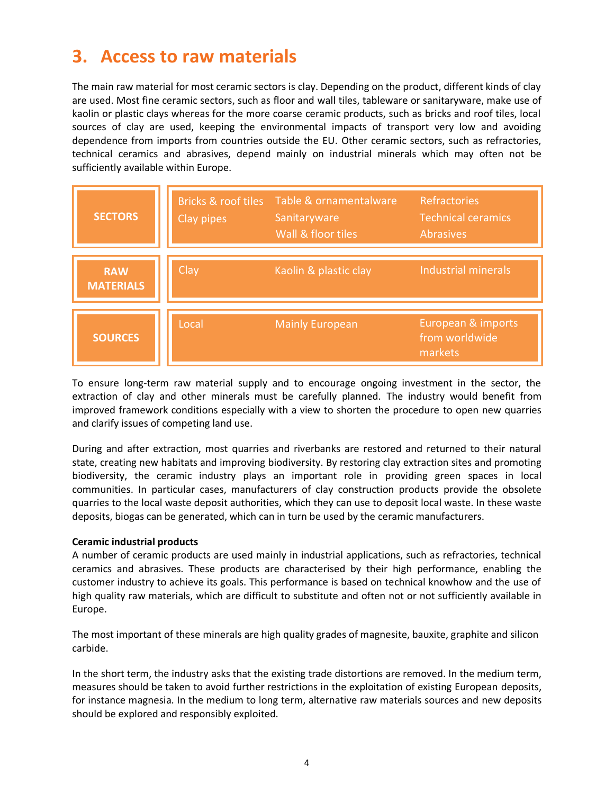## **3. Access to raw materials**

The main raw material for most ceramic sectors is clay. Depending on the product, different kinds of clay are used. Most fine ceramic sectors, such as floor and wall tiles, tableware or sanitaryware, make use of kaolin or plastic clays whereas for the more coarse ceramic products, such as bricks and roof tiles, local sources of clay are used, keeping the environmental impacts of transport very low and avoiding dependence from imports from countries outside the EU. Other ceramic sectors, such as refractories, technical ceramics and abrasives, depend mainly on industrial minerals which may often not be<br>sufficiently available within Europe. sufficiently available within Europe.

| <b>SECTORS</b>                 | Clay pipes | Bricks & roof tiles Table & ornamentalware<br>Sanitaryware<br>Wall & floor tiles | <b>Refractories</b><br><b>Technical ceramics</b><br><b>Abrasives</b> |
|--------------------------------|------------|----------------------------------------------------------------------------------|----------------------------------------------------------------------|
| <b>RAW</b><br><b>MATERIALS</b> | Clay       | Kaolin & plastic clay                                                            | Industrial minerals                                                  |
| <b>SOURCES</b>                 | Local      | <b>Mainly European</b>                                                           | European & imports<br>from worldwide<br>markets                      |

To ensure long-term raw material supply and to encourage ongoing investment in the sector, the extraction of clay and other minerals must be carefully planned. The industry would benefit from improved framework conditions especially with a view to shorten the procedure to open new quarries and clarify issues of competing land use.

During and after extraction, most quarries and riverbanks are restored and returned to their natural state, creating new habitats and improving biodiversity. By restoring clay extraction sites and promoting biodiversity, the ceramic industry plays an important role in providing green spaces in local communities. In particular cases, manufacturers of clay construction products provide the obsolete quarries to the local waste deposit authorities, which they can use to deposit local waste. In these waste deposits, biogas can be generated, which can in turn be used by the ceramic manufacturers.

### **Ceramic industrial products**

A number of ceramic products are used mainly in industrial applications, such as refractories, technical ceramics and abrasives. These products are characterised by their high performance, enabling the customer industry to achieve its goals. This performance is based on technical knowhow and the use of high quality raw materials, which are difficult to substitute and often not or not sufficiently available in Europe.

The most important of these minerals are high quality grades of magnesite, bauxite, graphite and silicon carbide.

In the short term, the industry asks that the existing trade distortions are removed. In the medium term, measures should be taken to avoid further restrictions in the exploitation of existing European deposits, for instance magnesia. In the medium to long term, alternative raw materials sources and new deposits should be explored and responsibly exploited.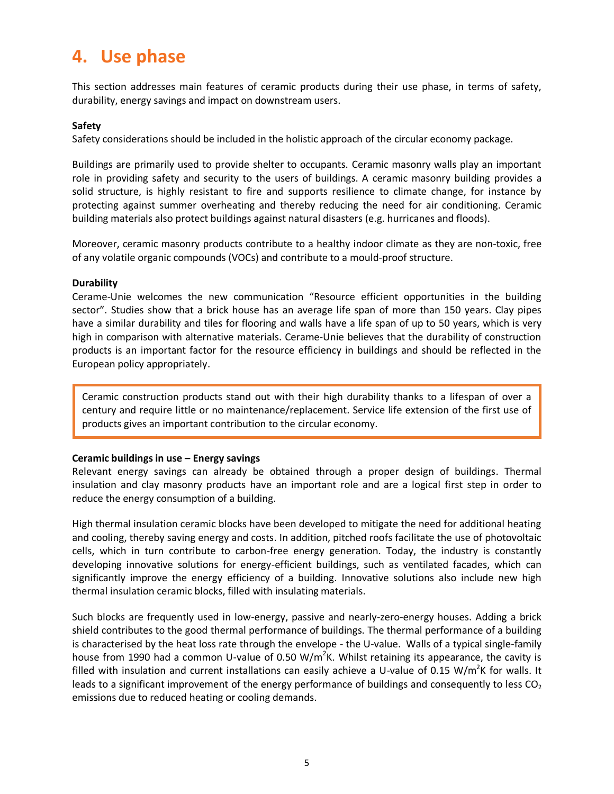### **4. Use phase**

This section addresses main features of ceramic products during their use phase, in terms of safety, durability, energy savings and impact on downstream users.

### **Safety**

Safety considerations should be included in the holistic approach of the circular economy package.

Buildings are primarily used to provide shelter to occupants. Ceramic masonry walls play an important role in providing safety and security to the users of buildings. A ceramic masonry building provides a solid structure, is highly resistant to fire and supports resilience to climate change, for instance by protecting against summer overheating and thereby reducing the need for air conditioning. Ceramic building materials also protect buildings against natural disasters (e.g. hurricanes and floods).

Moreover, ceramic masonry products contribute to a healthy indoor climate as they are non-toxic, free of any volatile organic compounds (VOCs) and contribute to a mould-proof structure.

### **Durability**

Cerame-Unie welcomes the new communication "Resource efficient opportunities in the building sector". Studies show that a brick house has an average life span of more than 150 years. Clay pipes have a similar durability and tiles for flooring and walls have a life span of up to 50 years, which is very high in comparison with alternative materials. Cerame-Unie believes that the durability of construction products is an important factor for the resource efficiency in buildings and should be reflected in the European policy appropriately.

Ceramic construction products stand out with their high durability thanks to a lifespan of over a century and require little or no maintenance/replacement. Service life extension of the first use of products gives an important contribution to the circular economy.

### **Ceramic buildings in use – Energy savings**

Relevant energy savings can already be obtained through a proper design of buildings. Thermal insulation and clay masonry products have an important role and are a logical first step in order to reduce the energy consumption of a building.

High thermal insulation ceramic blocks have been developed to mitigate the need for additional heating and cooling, thereby saving energy and costs. In addition, pitched roofs facilitate the use of photovoltaic cells, which in turn contribute to carbon-free energy generation. Today, the industry is constantly developing innovative solutions for energy-efficient buildings, such as ventilated facades, which can significantly improve the energy efficiency of a building. Innovative solutions also include new high thermal insulation ceramic blocks, filled with insulating materials.

Such blocks are frequently used in low-energy, passive and nearly-zero-energy houses. Adding a brick shield contributes to the good thermal performance of buildings. The thermal performance of a building is characterised by the heat loss rate through the envelope - the U-value. Walls of a typical single-family house from 1990 had a common U-value of 0.50 W/m<sup>2</sup>K. Whilst retaining its appearance, the cavity is filled with insulation and current installations can easily achieve a U-value of 0.15 W/m<sup>2</sup>K for walls. It leads to a significant improvement of the energy performance of buildings and consequently to less  $CO<sub>2</sub>$ emissions due to reduced heating or cooling demands.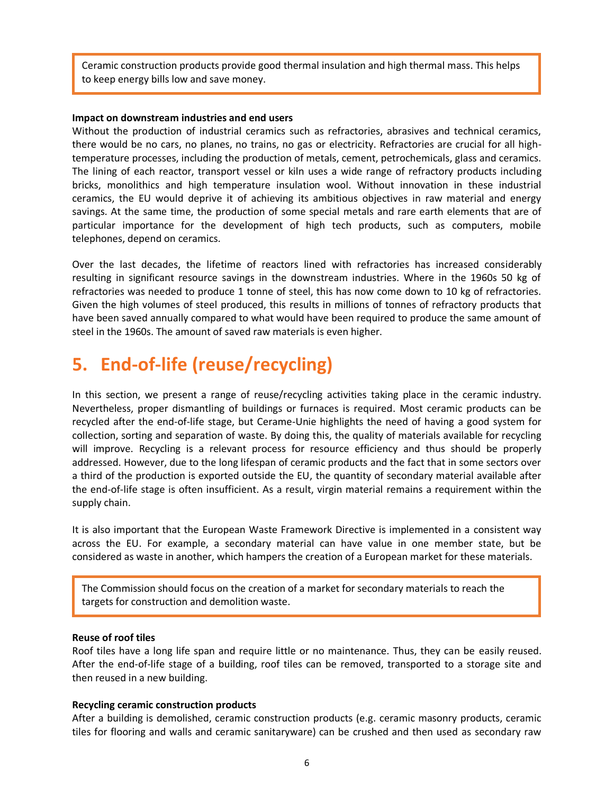Ceramic construction products provide good thermal insulation and high thermal mass. This helps to keep energy bills low and save money.

#### **Impact on downstream industries and end users**

Without the production of industrial ceramics such as refractories, abrasives and technical ceramics, there would be no cars, no planes, no trains, no gas or electricity. Refractories are crucial for all hightemperature processes, including the production of metals, cement, petrochemicals, glass and ceramics. The lining of each reactor, transport vessel or kiln uses a wide range of refractory products including bricks, monolithics and high temperature insulation wool. Without innovation in these industrial ceramics, the EU would deprive it of achieving its ambitious objectives in raw material and energy savings. At the same time, the production of some special metals and rare earth elements that are of particular importance for the development of high tech products, such as computers, mobile telephones, depend on ceramics.

Over the last decades, the lifetime of reactors lined with refractories has increased considerably resulting in significant resource savings in the downstream industries. Where in the 1960s 50 kg of refractories was needed to produce 1 tonne of steel, this has now come down to 10 kg of refractories. Given the high volumes of steel produced, this results in millions of tonnes of refractory products that have been saved annually compared to what would have been required to produce the same amount of steel in the 1960s. The amount of saved raw materials is even higher.

### **5. End-of-life (reuse/recycling)**

In this section, we present a range of reuse/recycling activities taking place in the ceramic industry. Nevertheless, proper dismantling of buildings or furnaces is required. Most ceramic products can be recycled after the end-of-life stage, but Cerame-Unie highlights the need of having a good system for collection, sorting and separation of waste. By doing this, the quality of materials available for recycling will improve. Recycling is a relevant process for resource efficiency and thus should be properly addressed. However, due to the long lifespan of ceramic products and the fact that in some sectors over a third of the production is exported outside the EU, the quantity of secondary material available after the end-of-life stage is often insufficient. As a result, virgin material remains a requirement within the supply chain.

It is also important that the European Waste Framework Directive is implemented in a consistent way across the EU. For example, a secondary material can have value in one member state, but be considered as waste in another, which hampers the creation of a European market for these materials.

The Commission should focus on the creation of a market for secondary materials to reach the targets for construction and demolition waste.

#### **Reuse of roof tiles**

Roof tiles have a long life span and require little or no maintenance. Thus, they can be easily reused. After the end-of-life stage of a building, roof tiles can be removed, transported to a storage site and then reused in a new building.

#### **Recycling ceramic construction products**

After a building is demolished, ceramic construction products (e.g. ceramic masonry products, ceramic tiles for flooring and walls and ceramic sanitaryware) can be crushed and then used as secondary raw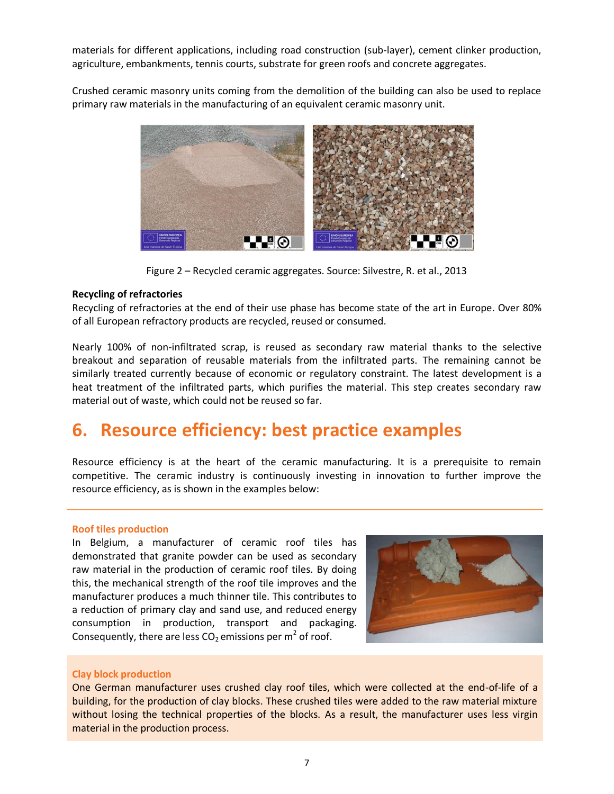materials for different applications, including road construction (sub-layer), cement clinker production, agriculture, embankments, tennis courts, substrate for green roofs and concrete aggregates.

Crushed ceramic masonry units coming from the demolition of the building can also be used to replace primary raw materials in the manufacturing of an equivalent ceramic masonry unit.



Figure 2 – Recycled ceramic aggregates. Source: Silvestre, R. et al., 2013

### **Recycling of refractories**

Recycling of refractories at the end of their use phase has become state of the art in Europe. Over 80% of all European refractory products are recycled, reused or consumed.

Nearly 100% of non-infiltrated scrap, is reused as secondary raw material thanks to the selective breakout and separation of reusable materials from the infiltrated parts. The remaining cannot be similarly treated currently because of economic or regulatory constraint. The latest development is a heat treatment of the infiltrated parts, which purifies the material. This step creates secondary raw material out of waste, which could not be reused so far.

### **6. Resource efficiency: best practice examples**

Resource efficiency is at the heart of the ceramic manufacturing. It is a prerequisite to remain competitive. The ceramic industry is continuously investing in innovation to further improve the resource efficiency, as is shown in the examples below:

### **Roof tiles production**

In Belgium, a manufacturer of ceramic roof tiles has demonstrated that granite powder can be used as secondary raw material in the production of ceramic roof tiles. By doing this, the mechanical strength of the roof tile improves and the manufacturer produces a much thinner tile. This contributes to a reduction of primary clay and sand use, and reduced energy consumption in production, transport and packaging. Consequently, there are less CO<sub>2</sub> emissions per m<sup>2</sup> of roof.



### **Clay block production**

One German manufacturer uses crushed clay roof tiles, which were collected at the end-of-life of a building, for the production of clay blocks. These crushed tiles were added to the raw material mixture without losing the technical properties of the blocks. As a result, the manufacturer uses less virgin material in the production process.